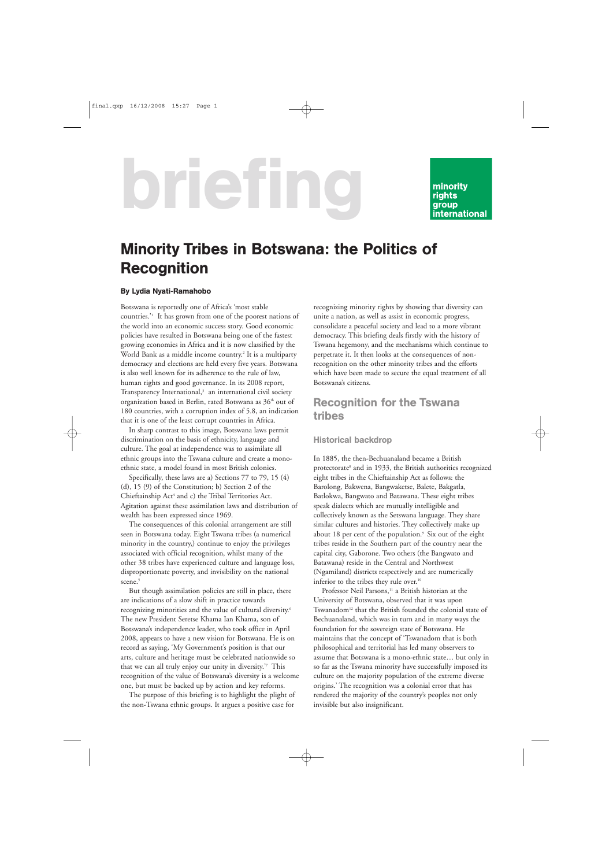# briefing

#### minority rights group **international**

# Minority Tribes in Botswana: the Politics of **Recognition**

#### By Lydia Nyati-Ramahobo

Botswana is reportedly one of Africa's 'most stable countries.'1 It has grown from one of the poorest nations of the world into an economic success story. Good economic policies have resulted in Botswana being one of the fastest growing economies in Africa and it is now classified by the World Bank as a middle income country.<sup>2</sup> It is a multiparty democracy and elections are held every five years. Botswana is also well known for its adherence to the rule of law, human rights and good governance. In its 2008 report, Transparency International,<sup>3</sup> an international civil society organization based in Berlin, rated Botswana as 36<sup>th</sup> out of 180 countries, with a corruption index of 5.8, an indication that it is one of the least corrupt countries in Africa.

In sharp contrast to this image, Botswana laws permit discrimination on the basis of ethnicity, language and culture. The goal at independence was to assimilate all ethnic groups into the Tswana culture and create a monoethnic state, a model found in most British colonies.

Specifically, these laws are a) Sections 77 to 79, 15 (4) (d), 15 (9) of the Constitution; b) Section 2 of the Chieftainship Act<sup>4</sup> and c) the Tribal Territories Act. Agitation against these assimilation laws and distribution of wealth has been expressed since 1969.

The consequences of this colonial arrangement are still seen in Botswana today. Eight Tswana tribes (a numerical minority in the country,) continue to enjoy the privileges associated with official recognition, whilst many of the other 38 tribes have experienced culture and language loss, disproportionate poverty, and invisibility on the national scene.<sup>5</sup>

But though assimilation policies are still in place, there are indications of a slow shift in practice towards recognizing minorities and the value of cultural diversity.<sup>6</sup> The new President Seretse Khama Ian Khama, son of Botswana's independence leader, who took office in April 2008, appears to have a new vision for Botswana. He is on record as saying, 'My Government's position is that our arts, culture and heritage must be celebrated nationwide so that we can all truly enjoy our unity in diversity.'7 This recognition of the value of Botswana's diversity is a welcome one, but must be backed up by action and key reforms.

The purpose of this briefing is to highlight the plight of the non-Tswana ethnic groups. It argues a positive case for

recognizing minority rights by showing that diversity can unite a nation, as well as assist in economic progress, consolidate a peaceful society and lead to a more vibrant democracy. This briefing deals firstly with the history of Tswana hegemony, and the mechanisms which continue to perpetrate it. It then looks at the consequences of nonrecognition on the other minority tribes and the efforts which have been made to secure the equal treatment of all Botswana's citizens.

## Recognition for the Tswana tribes

#### Historical backdrop

In 1885, the then-Bechuanaland became a British protectorate<sup>8</sup> and in 1933, the British authorities recognized eight tribes in the Chieftainship Act as follows: the Barolong, Bakwena, Bangwaketse, Balete, Bakgatla, Batlokwa, Bangwato and Batawana. These eight tribes speak dialects which are mutually intelligible and collectively known as the Setswana language. They share similar cultures and histories. They collectively make up about 18 per cent of the population.<sup>9</sup> Six out of the eight tribes reside in the Southern part of the country near the capital city, Gaborone. Two others (the Bangwato and Batawana) reside in the Central and Northwest (Ngamiland) districts respectively and are numerically inferior to the tribes they rule over.<sup>10</sup>

Professor Neil Parsons,<sup>11</sup> a British historian at the University of Botswana, observed that it was upon Tswanadom12 that the British founded the colonial state of Bechuanaland, which was in turn and in many ways the foundation for the sovereign state of Botswana. He maintains that the concept of 'Tswanadom that is both philosophical and territorial has led many observers to assume that Botswana is a mono-ethnic state… but only in so far as the Tswana minority have successfully imposed its culture on the majority population of the extreme diverse origins.' The recognition was a colonial error that has rendered the majority of the country's peoples not only invisible but also insignificant.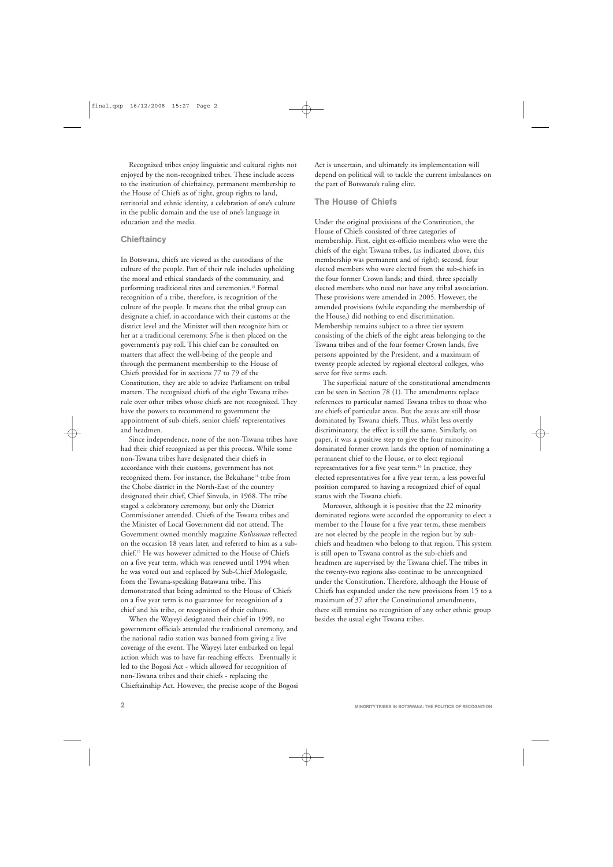Recognized tribes enjoy linguistic and cultural rights not enjoyed by the non-recognized tribes. These include access to the institution of chieftaincy, permanent membership to the House of Chiefs as of right, group rights to land, territorial and ethnic identity, a celebration of one's culture in the public domain and the use of one's language in education and the media.

#### **Chieftaincy**

In Botswana, chiefs are viewed as the custodians of the culture of the people. Part of their role includes upholding the moral and ethical standards of the community, and performing traditional rites and ceremonies.<sup>13</sup> Formal recognition of a tribe, therefore, is recognition of the culture of the people. It means that the tribal group can designate a chief, in accordance with their customs at the district level and the Minister will then recognize him or her at a traditional ceremony. S/he is then placed on the government's pay roll. This chief can be consulted on matters that affect the well-being of the people and through the permanent membership to the House of Chiefs provided for in sections 77 to 79 of the Constitution, they are able to advize Parliament on tribal matters. The recognized chiefs of the eight Tswana tribes rule over other tribes whose chiefs are not recognized. They have the powers to recommend to government the appointment of sub-chiefs, senior chiefs' representatives and headmen.

Since independence, none of the non-Tswana tribes have had their chief recognized as per this process. While some non-Tswana tribes have designated their chiefs in accordance with their customs, government has not recognized them. For instance, the Bekuhane<sup>14</sup> tribe from the Chobe district in the North-East of the country designated their chief, Chief Sinvula, in 1968. The tribe staged a celebratory ceremony, but only the District Commissioner attended. Chiefs of the Tswana tribes and the Minister of Local Government did not attend. The Government owned monthly magazine *Kutlwanao* reflected on the occasion 18 years later, and referred to him as a subchief.15 He was however admitted to the House of Chiefs on a five year term, which was renewed until 1994 when he was voted out and replaced by Sub-Chief Mologasile, from the Tswana-speaking Batawana tribe. This demonstrated that being admitted to the House of Chiefs on a five year term is no guarantee for recognition of a chief and his tribe, or recognition of their culture.

When the Wayeyi designated their chief in 1999, no government officials attended the traditional ceremony, and the national radio station was banned from giving a live coverage of the event. The Wayeyi later embarked on legal action which was to have far-reaching effects. Eventually it led to the Bogosi Act - which allowed for recognition of non-Tswana tribes and their chiefs - replacing the Chieftainship Act. However, the precise scope of the Bogosi Act is uncertain, and ultimately its implementation will depend on political will to tackle the current imbalances on the part of Botswana's ruling elite.

#### The House of Chiefs

Under the original provisions of the Constitution, the House of Chiefs consisted of three categories of membership. First, eight ex-officio members who were the chiefs of the eight Tswana tribes, (as indicated above, this membership was permanent and of right); second, four elected members who were elected from the sub-chiefs in the four former Crown lands; and third, three specially elected members who need not have any tribal association. These provisions were amended in 2005. However, the amended provisions (while expanding the membership of the House,) did nothing to end discrimination. Membership remains subject to a three tier system consisting of the chiefs of the eight areas belonging to the Tswana tribes and of the four former Crown lands, five persons appointed by the President, and a maximum of twenty people selected by regional electoral colleges, who serve for five terms each.

The superficial nature of the constitutional amendments can be seen in Section 78 (1). The amendments replace references to particular named Tswana tribes to those who are chiefs of particular areas. But the areas are still those dominated by Tswana chiefs. Thus, whilst less overtly discriminatory, the effect is still the same. Similarly, on paper, it was a positive step to give the four minoritydominated former crown lands the option of nominating a permanent chief to the House, or to elect regional representatives for a five year term.16 In practice, they elected representatives for a five year term, a less powerful position compared to having a recognized chief of equal status with the Tswana chiefs.

Moreover, although it is positive that the 22 minority dominated regions were accorded the opportunity to elect a member to the House for a five year term, these members are not elected by the people in the region but by subchiefs and headmen who belong to that region. This system is still open to Tswana control as the sub-chiefs and headmen are supervised by the Tswana chief. The tribes in the twenty-two regions also continue to be unrecognized under the Constitution. Therefore, although the House of Chiefs has expanded under the new provisions from 15 to a maximum of 37 after the Constitutional amendments, there still remains no recognition of any other ethnic group besides the usual eight Tswana tribes.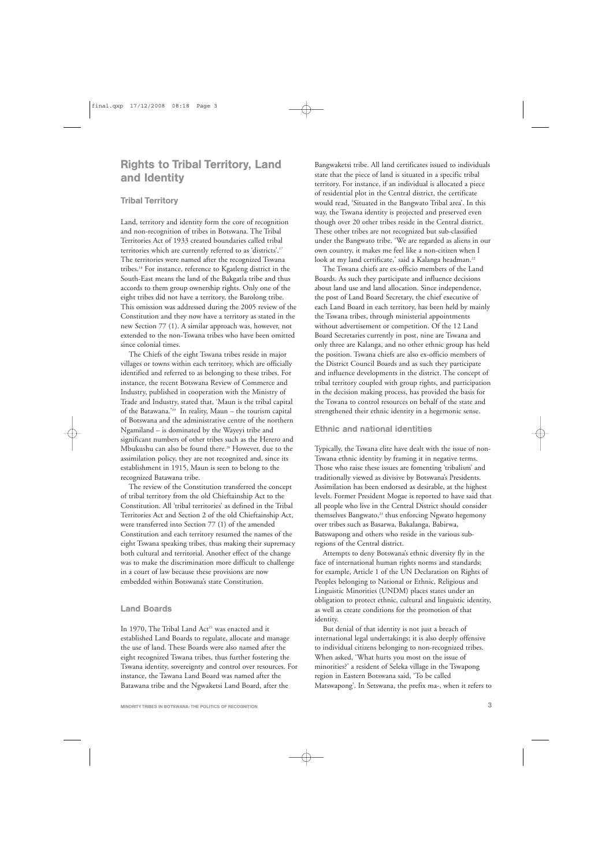## Rights to Tribal Territory, Land and Identity

#### Tribal Territory

Land, territory and identity form the core of recognition and non-recognition of tribes in Botswana. The Tribal Territories Act of 1933 created boundaries called tribal territories which are currently referred to as 'districts'.17 The territories were named after the recognized Tswana tribes.18 For instance, reference to Kgatleng district in the South-East means the land of the Bakgatla tribe and thus accords to them group ownership rights. Only one of the eight tribes did not have a territory, the Barolong tribe. This omission was addressed during the 2005 review of the Constitution and they now have a territory as stated in the new Section 77 (1). A similar approach was, however, not extended to the non-Tswana tribes who have been omitted since colonial times.

The Chiefs of the eight Tswana tribes reside in major villages or towns within each territory, which are officially identified and referred to as belonging to these tribes. For instance, the recent Botswana Review of Commerce and Industry, published in cooperation with the Ministry of Trade and Industry, stated that, 'Maun is the tribal capital of the Batawana.'19 In reality, Maun – the tourism capital of Botswana and the administrative centre of the northern Ngamiland – is dominated by the Wayeyi tribe and significant numbers of other tribes such as the Herero and Mbukushu can also be found there.20 However, due to the assimilation policy, they are not recognized and, since its establishment in 1915, Maun is seen to belong to the recognized Batawana tribe.

The review of the Constitution transferred the concept of tribal territory from the old Chieftainship Act to the Constitution. All 'tribal territories' as defined in the Tribal Territories Act and Section 2 of the old Chieftainship Act, were transferred into Section 77 (1) of the amended Constitution and each territory resumed the names of the eight Tswana speaking tribes, thus making their supremacy both cultural and territorial. Another effect of the change was to make the discrimination more difficult to challenge in a court of law because these provisions are now embedded within Botswana's state Constitution.

#### Land Boards

In 1970, The Tribal Land Act<sup>21</sup> was enacted and it established Land Boards to regulate, allocate and manage the use of land. These Boards were also named after the eight recognized Tswana tribes, thus further fostering the Tswana identity, sovereignty and control over resources. For instance, the Tawana Land Board was named after the Batawana tribe and the Ngwaketsi Land Board, after the

Bangwaketsi tribe. All land certificates issued to individuals state that the piece of land is situated in a specific tribal territory. For instance, if an individual is allocated a piece of residential plot in the Central district, the certificate would read, 'Situated in the Bangwato Tribal area'. In this way, the Tswana identity is projected and preserved even though over 20 other tribes reside in the Central district. These other tribes are not recognized but sub-classified under the Bangwato tribe. 'We are regarded as aliens in our own country, it makes me feel like a non-citizen when I look at my land certificate,' said a Kalanga headman.<sup>22</sup>

The Tswana chiefs are ex-officio members of the Land Boards. As such they participate and influence decisions about land use and land allocation. Since independence, the post of Land Board Secretary, the chief executive of each Land Board in each territory, has been held by mainly the Tswana tribes, through ministerial appointments without advertisement or competition. Of the 12 Land Board Secretaries currently in post, nine are Tswana and only three are Kalanga, and no other ethnic group has held the position. Tswana chiefs are also ex-officio members of the District Council Boards and as such they participate and influence developments in the district. The concept of tribal territory coupled with group rights, and participation in the decision making process, has provided the basis for the Tswana to control resources on behalf of the state and strengthened their ethnic identity in a hegemonic sense.

#### Ethnic and national identities

Typically, the Tswana elite have dealt with the issue of non-Tswana ethnic identity by framing it in negative terms. Those who raise these issues are fomenting 'tribalism' and traditionally viewed as divisive by Botswana's Presidents. Assimilation has been endorsed as desirable, at the highest levels. Former President Mogae is reported to have said that all people who live in the Central District should consider themselves Bangwato,<sup>23</sup> thus enforcing Ngwato hegemony over tribes such as Basarwa, Bakalanga, Babirwa, Batswapong and others who reside in the various subregions of the Central district.

Attempts to deny Botswana's ethnic diversity fly in the face of international human rights norms and standards; for example, Article 1 of the UN Declaration on Rights of Peoples belonging to National or Ethnic, Religious and Linguistic Minorities (UNDM) places states under an obligation to protect ethnic, cultural and linguistic identity, as well as create conditions for the promotion of that identity.

But denial of that identity is not just a breach of international legal undertakings; it is also deeply offensive to individual citizens belonging to non-recognized tribes. When asked, 'What hurts you most on the issue of minorities?' a resident of Seleka village in the Tswapong region in Eastern Botswana said, 'To be called Matswapong'. In Setswana, the prefix ma-, when it refers to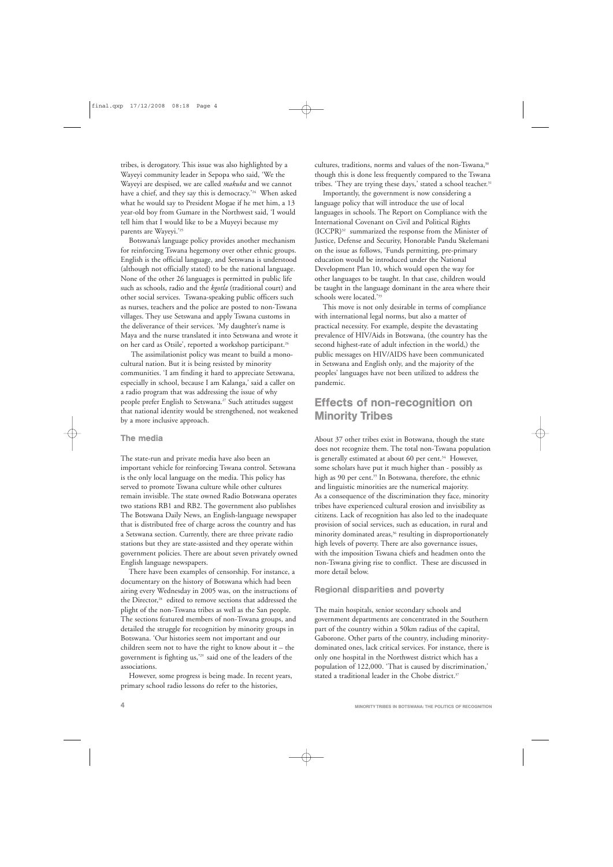tribes, is derogatory. This issue was also highlighted by a Wayeyi community leader in Sepopa who said, 'We the Wayeyi are despised, we are called *makuba* and we cannot have a chief, and they say this is democracy.'24 When asked what he would say to President Mogae if he met him, a 13 year-old boy from Gumare in the Northwest said, 'I would tell him that I would like to be a Muyeyi because my parents are Wayeyi.'25

Botswana's language policy provides another mechanism for reinforcing Tswana hegemony over other ethnic groups. English is the official language, and Setswana is understood (although not officially stated) to be the national language. None of the other 26 languages is permitted in public life such as schools, radio and the *kgotla* (traditional court) and other social services. Tswana-speaking public officers such as nurses, teachers and the police are posted to non-Tswana villages. They use Setswana and apply Tswana customs in the deliverance of their services. 'My daughter's name is Maya and the nurse translated it into Setswana and wrote it on her card as Otsile', reported a workshop participant.<sup>26</sup>

The assimilationist policy was meant to build a monocultural nation. But it is being resisted by minority communities. 'I am finding it hard to appreciate Setswana, especially in school, because I am Kalanga,' said a caller on a radio program that was addressing the issue of why people prefer English to Setswana.<sup>27</sup> Such attitudes suggest that national identity would be strengthened, not weakened by a more inclusive approach.

#### The media

The state-run and private media have also been an important vehicle for reinforcing Tswana control. Setswana is the only local language on the media. This policy has served to promote Tswana culture while other cultures remain invisible. The state owned Radio Botswana operates two stations RB1 and RB2. The government also publishes The Botswana Daily News, an English-language newspaper that is distributed free of charge across the country and has a Setswana section. Currently, there are three private radio stations but they are state-assisted and they operate within government policies. There are about seven privately owned English language newspapers.

There have been examples of censorship. For instance, a documentary on the history of Botswana which had been airing every Wednesday in 2005 was, on the instructions of the Director,<sup>28</sup> edited to remove sections that addressed the plight of the non-Tswana tribes as well as the San people. The sections featured members of non-Tswana groups, and detailed the struggle for recognition by minority groups in Botswana. 'Our histories seem not important and our children seem not to have the right to know about it – the government is fighting us,'29 said one of the leaders of the associations.

However, some progress is being made. In recent years, primary school radio lessons do refer to the histories,

cultures, traditions, norms and values of the non-Tswana,<sup>30</sup> though this is done less frequently compared to the Tswana tribes. 'They are trying these days,' stated a school teacher.<sup>31</sup>

Importantly, the government is now considering a language policy that will introduce the use of local languages in schools. The Report on Compliance with the International Covenant on Civil and Political Rights (ICCPR)32 summarized the response from the Minister of Justice, Defense and Security, Honorable Pandu Skelemani on the issue as follows, 'Funds permitting, pre-primary education would be introduced under the National Development Plan 10, which would open the way for other languages to be taught. In that case, children would be taught in the language dominant in the area where their schools were located.'33

This move is not only desirable in terms of compliance with international legal norms, but also a matter of practical necessity. For example, despite the devastating prevalence of HIV/Aids in Botswana, (the country has the second highest-rate of adult infection in the world,) the public messages on HIV/AIDS have been communicated in Setswana and English only, and the majority of the peoples' languages have not been utilized to address the pandemic.

## Effects of non-recognition on Minority Tribes

About 37 other tribes exist in Botswana, though the state does not recognize them. The total non-Tswana population is generally estimated at about 60 per cent.<sup>34</sup> However, some scholars have put it much higher than - possibly as high as 90 per cent.<sup>35</sup> In Botswana, therefore, the ethnic and linguistic minorities are the numerical majority. As a consequence of the discrimination they face, minority tribes have experienced cultural erosion and invisibility as citizens. Lack of recognition has also led to the inadequate provision of social services, such as education, in rural and minority dominated areas,<sup>36</sup> resulting in disproportionately high levels of poverty. There are also governance issues, with the imposition Tswana chiefs and headmen onto the non-Tswana giving rise to conflict. These are discussed in more detail below.

#### Regional disparities and poverty

The main hospitals, senior secondary schools and government departments are concentrated in the Southern part of the country within a 50km radius of the capital, Gaborone. Other parts of the country, including minoritydominated ones, lack critical services. For instance, there is only one hospital in the Northwest district which has a population of 122,000. 'That is caused by discrimination,' stated a traditional leader in the Chobe district.<sup>37</sup>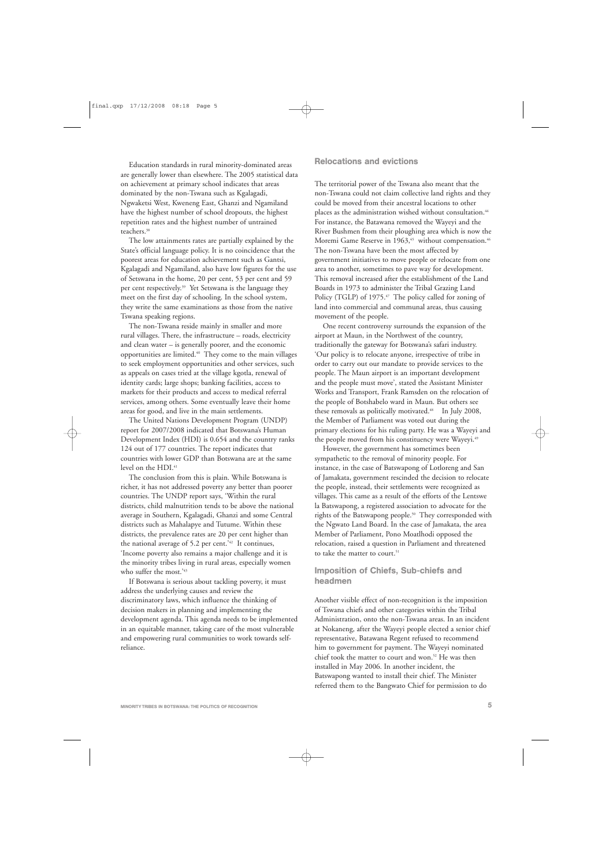Education standards in rural minority-dominated areas are generally lower than elsewhere. The 2005 statistical data on achievement at primary school indicates that areas dominated by the non-Tswana such as Kgalagadi, Ngwaketsi West, Kweneng East, Ghanzi and Ngamiland have the highest number of school dropouts, the highest repetition rates and the highest number of untrained teachers.<sup>38</sup>

The low attainments rates are partially explained by the State's official language policy. It is no coincidence that the poorest areas for education achievement such as Gantsi, Kgalagadi and Ngamiland, also have low figures for the use of Setswana in the home, 20 per cent, 53 per cent and 59 per cent respectively.<sup>39</sup> Yet Setswana is the language they meet on the first day of schooling. In the school system, they write the same examinations as those from the native Tswana speaking regions.

The non-Tswana reside mainly in smaller and more rural villages. There, the infrastructure – roads, electricity and clean water – is generally poorer, and the economic opportunities are limited.40 They come to the main villages to seek employment opportunities and other services, such as appeals on cases tried at the village kgotla, renewal of identity cards; large shops; banking facilities, access to markets for their products and access to medical referral services, among others. Some eventually leave their home areas for good, and live in the main settlements.

The United Nations Development Program (UNDP) report for 2007/2008 indicated that Botswana's Human Development Index (HDI) is 0.654 and the country ranks 124 out of 177 countries. The report indicates that countries with lower GDP than Botswana are at the same level on the HDI.<sup>41</sup>

The conclusion from this is plain. While Botswana is richer, it has not addressed poverty any better than poorer countries. The UNDP report says, 'Within the rural districts, child malnutrition tends to be above the national average in Southern, Kgalagadi, Ghanzi and some Central districts such as Mahalapye and Tutume. Within these districts, the prevalence rates are 20 per cent higher than the national average of 5.2 per cent.'42 It continues, 'Income poverty also remains a major challenge and it is the minority tribes living in rural areas, especially women who suffer the most.'43

If Botswana is serious about tackling poverty, it must address the underlying causes and review the discriminatory laws, which influence the thinking of decision makers in planning and implementing the development agenda. This agenda needs to be implemented in an equitable manner, taking care of the most vulnerable and empowering rural communities to work towards selfreliance.

#### Relocations and evictions

The territorial power of the Tswana also meant that the non-Tswana could not claim collective land rights and they could be moved from their ancestral locations to other places as the administration wished without consultation.<sup>44</sup> For instance, the Batawana removed the Wayeyi and the River Bushmen from their ploughing area which is now the Moremi Game Reserve in 1963,<sup>45</sup> without compensation.<sup>46</sup> The non-Tswana have been the most affected by government initiatives to move people or relocate from one area to another, sometimes to pave way for development. This removal increased after the establishment of the Land Boards in 1973 to administer the Tribal Grazing Land Policy (TGLP) of 1975.<sup>47</sup> The policy called for zoning of land into commercial and communal areas, thus causing movement of the people.

One recent controversy surrounds the expansion of the airport at Maun, in the Northwest of the country, traditionally the gateway for Botswana's safari industry. 'Our policy is to relocate anyone, irrespective of tribe in order to carry out our mandate to provide services to the people. The Maun airport is an important development and the people must move', stated the Assistant Minister Works and Transport, Frank Ramsden on the relocation of the people of Botshabelo ward in Maun. But others see these removals as politically motivated.<sup>48</sup> In July 2008, the Member of Parliament was voted out during the primary elections for his ruling party. He was a Wayeyi and the people moved from his constituency were Wayeyi.<sup>49</sup>

However, the government has sometimes been sympathetic to the removal of minority people. For instance, in the case of Batswapong of Lotloreng and San of Jamakata, government rescinded the decision to relocate the people, instead, their settlements were recognized as villages. This came as a result of the efforts of the Lentswe la Batswapong, a registered association to advocate for the rights of the Batswapong people.<sup>50</sup> They corresponded with the Ngwato Land Board. In the case of Jamakata, the area Member of Parliament, Pono Moatlhodi opposed the relocation, raised a question in Parliament and threatened to take the matter to court.<sup>51</sup>

#### Imposition of Chiefs, Sub-chiefs and headmen

Another visible effect of non-recognition is the imposition of Tswana chiefs and other categories within the Tribal Administration, onto the non-Tswana areas. In an incident at Nokaneng, after the Wayeyi people elected a senior chief representative, Batawana Regent refused to recommend him to government for payment. The Wayeyi nominated chief took the matter to court and won.52 He was then installed in May 2006. In another incident, the Batswapong wanted to install their chief. The Minister referred them to the Bangwato Chief for permission to do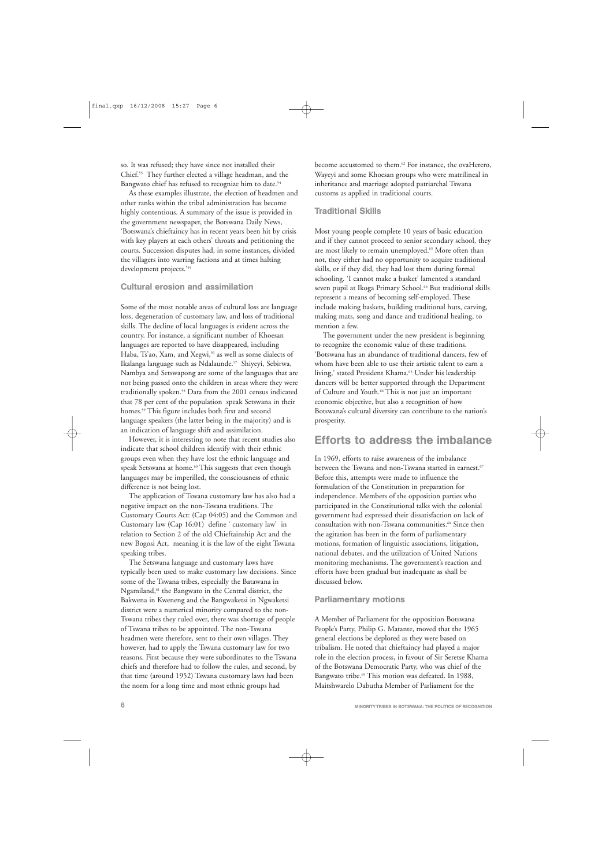so. It was refused; they have since not installed their Chief.53 They further elected a village headman, and the Bangwato chief has refused to recognize him to date.<sup>54</sup>

As these examples illustrate, the election of headmen and other ranks within the tribal administration has become highly contentious. A summary of the issue is provided in the government newspaper, the Botswana Daily News, 'Botswana's chieftaincy has in recent years been hit by crisis with key players at each others' throats and petitioning the courts. Succession disputes had, in some instances, divided the villagers into warring factions and at times halting development projects.'<sup>55</sup>

#### Cultural erosion and assimilation

Some of the most notable areas of cultural loss are language loss, degeneration of customary law, and loss of traditional skills. The decline of local languages is evident across the country. For instance, a significant number of Khoesan languages are reported to have disappeared, including Haba, Ts'ao, Xam, and Xegwi,<sup>56</sup> as well as some dialects of Ikalanga language such as Ndalaunde.57 Shiyeyi, Sebirwa, Nambya and Setswapong are some of the languages that are not being passed onto the children in areas where they were traditionally spoken.58 Data from the 2001 census indicated that 78 per cent of the population speak Setswana in their homes.<sup>59</sup> This figure includes both first and second language speakers (the latter being in the majority) and is an indication of language shift and assimilation.

However, it is interesting to note that recent studies also indicate that school children identify with their ethnic groups even when they have lost the ethnic language and speak Setswana at home.<sup>60</sup> This suggests that even though languages may be imperilled, the consciousness of ethnic difference is not being lost.

The application of Tswana customary law has also had a negative impact on the non-Tswana traditions. The Customary Courts Act: (Cap 04:05) and the Common and Customary law (Cap 16:01) define ' customary law' in relation to Section 2 of the old Chieftainship Act and the new Bogosi Act, meaning it is the law of the eight Tswana speaking tribes.

The Setswana language and customary laws have typically been used to make customary law decisions. Since some of the Tswana tribes, especially the Batawana in Ngamiland,61 the Bangwato in the Central district, the Bakwena in Kweneng and the Bangwaketsi in Ngwaketsi district were a numerical minority compared to the non-Tswana tribes they ruled over, there was shortage of people of Tswana tribes to be appointed. The non-Tswana headmen were therefore, sent to their own villages. They however, had to apply the Tswana customary law for two reasons. First because they were subordinates to the Tswana chiefs and therefore had to follow the rules, and second, by that time (around 1952) Tswana customary laws had been the norm for a long time and most ethnic groups had

become accustomed to them.<sup>62</sup> For instance, the ovaHerero, Wayeyi and some Khoesan groups who were matrilineal in inheritance and marriage adopted patriarchal Tswana customs as applied in traditional courts.

#### Traditional Skills

Most young people complete 10 years of basic education and if they cannot proceed to senior secondary school, they are most likely to remain unemployed.<sup>63</sup> More often than not, they either had no opportunity to acquire traditional skills, or if they did, they had lost them during formal schooling. 'I cannot make a basket' lamented a standard seven pupil at Ikoga Primary School.<sup>64</sup> But traditional skills represent a means of becoming self-employed. These include making baskets, building traditional huts, carving, making mats, song and dance and traditional healing, to mention a few.

The government under the new president is beginning to recognize the economic value of these traditions. 'Botswana has an abundance of traditional dancers, few of whom have been able to use their artistic talent to earn a living,' stated President Khama.<sup>65</sup> Under his leadership dancers will be better supported through the Department of Culture and Youth.<sup>66</sup> This is not just an important economic objective, but also a recognition of how Botswana's cultural diversity can contribute to the nation's prosperity.

### Efforts to address the imbalance

In 1969, efforts to raise awareness of the imbalance between the Tswana and non-Tswana started in earnest.<sup>67</sup> Before this, attempts were made to influence the formulation of the Constitution in preparation for independence. Members of the opposition parties who participated in the Constitutional talks with the colonial government had expressed their dissatisfaction on lack of consultation with non-Tswana communities.<sup>68</sup> Since then the agitation has been in the form of parliamentary motions, formation of linguistic associations, litigation, national debates, and the utilization of United Nations monitoring mechanisms. The government's reaction and efforts have been gradual but inadequate as shall be discussed below.

#### Parliamentary motions

A Member of Parliament for the opposition Botswana People's Party, Philip G. Matante, moved that the 1965 general elections be deplored as they were based on tribalism. He noted that chieftaincy had played a major role in the election process, in favour of Sir Seretse Khama of the Botswana Democratic Party, who was chief of the Bangwato tribe.<sup>69</sup> This motion was defeated. In 1988, Maitshwarelo Dabutha Member of Parliament for the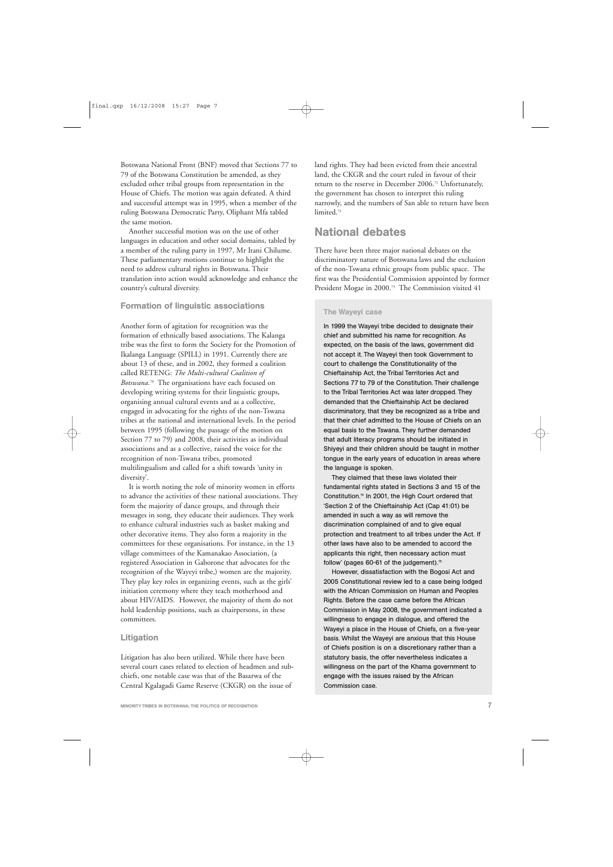Botswana National Front (BNF) moved that Sections 77 to 79 of the Botswana Constitution be amended, as they excluded other tribal groups from representation in the House of Chiefs. The motion was again defeated. A third and successful attempt was in 1995, when a member of the ruling Botswana Democratic Party, Oliphant Mfa tabled the same motion.

Another successful motion was on the use of other languages in education and other social domains, tabled by a member of the ruling party in 1997, Mr Itani Chilume. These parliamentary motions continue to highlight the need to address cultural rights in Botswana. Their translation into action would acknowledge and enhance the country's cultural diversity.

#### Formation of linguistic associations

Another form of agitation for recognition was the formation of ethnically based associations. The Kalanga tribe was the first to form the Society for the Promotion of Ikalanga Language (SPILL) in 1991. Currently there are about 13 of these, and in 2002, they formed a coalition called RETENG: *The Multi-cultural Coalition of Botswana*. <sup>70</sup> The organisations have each focused on developing writing systems for their linguistic groups, organising annual cultural events and as a collective, engaged in advocating for the rights of the non-Tswana tribes at the national and international levels. In the period between 1995 (following the passage of the motion on Section 77 to 79) and 2008, their activities as individual associations and as a collective, raised the voice for the recognition of non-Tswana tribes, promoted multilingualism and called for a shift towards 'unity in diversity'.

It is worth noting the role of minority women in efforts to advance the activities of these national associations. They form the majority of dance groups, and through their messages in song, they educate their audiences. They work to enhance cultural industries such as basket making and other decorative items. They also form a majority in the committees for these organisations. For instance, in the 13 village committees of the Kamanakao Association, (a registered Association in Gaborone that advocates for the recognition of the Wayeyi tribe,) women are the majority. They play key roles in organizing events, such as the girls' initiation ceremony where they teach motherhood and about HIV/AIDS. However, the majority of them do not hold leadership positions, such as chairpersons, in these committees.

#### Litigation

Litigation has also been utilized. While there have been several court cases related to election of headmen and subchiefs, one notable case was that of the Basarwa of the Central Kgalagadi Game Reserve (CKGR) on the issue of

land rights. They had been evicted from their ancestral land, the CKGR and the court ruled in favour of their return to the reserve in December 2006.71 Unfortunately, the government has chosen to interpret this ruling narrowly, and the numbers of San able to return have been limited.<sup>72</sup>

## National debates

There have been three major national debates on the discriminatory nature of Botswana laws and the exclusion of the non-Tswana ethnic groups from public space. The first was the Presidential Commission appointed by former President Mogae in 2000.73 The Commission visited 41

#### The Wayeyi case

In 1999 the Wayeyi tribe decided to designate their chief and submitted his name for recognition. As expected, on the basis of the laws, government did not accept it. The Wayeyi then took Government to court to challenge the Constitutionality of the Chieftainship Act, the Tribal Territories Act and Sections 77 to 79 of the Constitution. Their challenge to the Tribal Territories Act was later dropped. They demanded that the Chieftainship Act be declared discriminatory, that they be recognized as a tribe and that their chief admitted to the House of Chiefs on an equal basis to the Tswana. They further demanded that adult literacy programs should be initiated in Shiyeyi and their children should be taught in mother tongue in the early years of education in areas where the language is spoken.

They claimed that these laws violated their fundamental rights stated in Sections 3 and 15 of the Constitution.74 In 2001, the High Court ordered that 'Section 2 of the Chieftainship Act (Cap 41:01) be amended in such a way as will remove the discrimination complained of and to give equal protection and treatment to all tribes under the Act. If other laws have also to be amended to accord the applicants this right, then necessary action must follow' (pages 60-61 of the judgement).<sup>75</sup>

However, dissatisfaction with the Bogosi Act and 2005 Constitutional review led to a case being lodged with the African Commission on Human and Peoples Rights. Before the case came before the African Commission in May 2008, the government indicated a willingness to engage in dialogue, and offered the Wayeyi a place in the House of Chiefs, on a five-year basis. Whilst the Wayeyi are anxious that this House of Chiefs position is on a discretionary rather than a statutory basis, the offer nevertheless indicates a willingness on the part of the Khama government to engage with the issues raised by the African Commission case.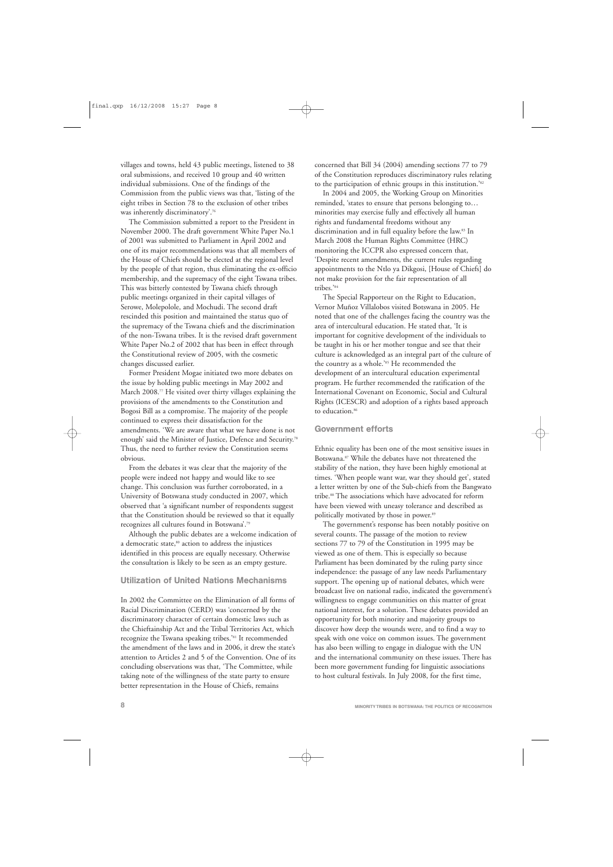villages and towns, held 43 public meetings, listened to 38 oral submissions, and received 10 group and 40 written individual submissions. One of the findings of the Commission from the public views was that, 'listing of the eight tribes in Section 78 to the exclusion of other tribes was inherently discriminatory'.76

The Commission submitted a report to the President in November 2000. The draft government White Paper No.1 of 2001 was submitted to Parliament in April 2002 and one of its major recommendations was that all members of the House of Chiefs should be elected at the regional level by the people of that region, thus eliminating the ex-officio membership, and the supremacy of the eight Tswana tribes. This was bitterly contested by Tswana chiefs through public meetings organized in their capital villages of Serowe, Molepolole, and Mochudi. The second draft rescinded this position and maintained the status quo of the supremacy of the Tswana chiefs and the discrimination of the non-Tswana tribes. It is the revised draft government White Paper No.2 of 2002 that has been in effect through the Constitutional review of 2005, with the cosmetic changes discussed earlier.

Former President Mogae initiated two more debates on the issue by holding public meetings in May 2002 and March 2008.<sup>77</sup> He visited over thirty villages explaining the provisions of the amendments to the Constitution and Bogosi Bill as a compromise. The majority of the people continued to express their dissatisfaction for the amendments. 'We are aware that what we have done is not enough' said the Minister of Justice, Defence and Security.<sup>78</sup> Thus, the need to further review the Constitution seems obvious.

From the debates it was clear that the majority of the people were indeed not happy and would like to see change. This conclusion was further corroborated, in a University of Botswana study conducted in 2007, which observed that 'a significant number of respondents suggest that the Constitution should be reviewed so that it equally recognizes all cultures found in Botswana'.79

Although the public debates are a welcome indication of a democratic state,<sup>80</sup> action to address the injustices identified in this process are equally necessary. Otherwise the consultation is likely to be seen as an empty gesture.

#### Utilization of United Nations Mechanisms

In 2002 the Committee on the Elimination of all forms of Racial Discrimination (CERD) was 'concerned by the discriminatory character of certain domestic laws such as the Chieftainship Act and the Tribal Territories Act, which recognize the Tswana speaking tribes.'81 It recommended the amendment of the laws and in 2006, it drew the state's attention to Articles 2 and 5 of the Convention. One of its concluding observations was that, 'The Committee, while taking note of the willingness of the state party to ensure better representation in the House of Chiefs, remains

concerned that Bill 34 (2004) amending sections 77 to 79 of the Constitution reproduces discriminatory rules relating to the participation of ethnic groups in this institution.'82

In 2004 and 2005, the Working Group on Minorities reminded, 'states to ensure that persons belonging to… minorities may exercise fully and effectively all human rights and fundamental freedoms without any discrimination and in full equality before the law.<sup>83</sup> In March 2008 the Human Rights Committee (HRC) monitoring the ICCPR also expressed concern that, 'Despite recent amendments, the current rules regarding appointments to the Ntlo ya Dikgosi, [House of Chiefs] do not make provision for the fair representation of all tribes.'84

The Special Rapporteur on the Right to Education, Vernor Muñoz Villalobos visited Botswana in 2005. He noted that one of the challenges facing the country was the area of intercultural education. He stated that, 'It is important for cognitive development of the individuals to be taught in his or her mother tongue and see that their culture is acknowledged as an integral part of the culture of the country as a whole.'85 He recommended the development of an intercultural education experimental program. He further recommended the ratification of the International Covenant on Economic, Social and Cultural Rights (ICESCR) and adoption of a rights based approach to education.<sup>86</sup>

#### Government efforts

Ethnic equality has been one of the most sensitive issues in Botswana.87 While the debates have not threatened the stability of the nation, they have been highly emotional at times. 'When people want war, war they should get', stated a letter written by one of the Sub-chiefs from the Bangwato tribe.88 The associations which have advocated for reform have been viewed with uneasy tolerance and described as politically motivated by those in power.<sup>89</sup>

The government's response has been notably positive on several counts. The passage of the motion to review sections 77 to 79 of the Constitution in 1995 may be viewed as one of them. This is especially so because Parliament has been dominated by the ruling party since independence: the passage of any law needs Parliamentary support. The opening up of national debates, which were broadcast live on national radio, indicated the government's willingness to engage communities on this matter of great national interest, for a solution. These debates provided an opportunity for both minority and majority groups to discover how deep the wounds were, and to find a way to speak with one voice on common issues. The government has also been willing to engage in dialogue with the UN and the international community on these issues. There has been more government funding for linguistic associations to host cultural festivals. In July 2008, for the first time,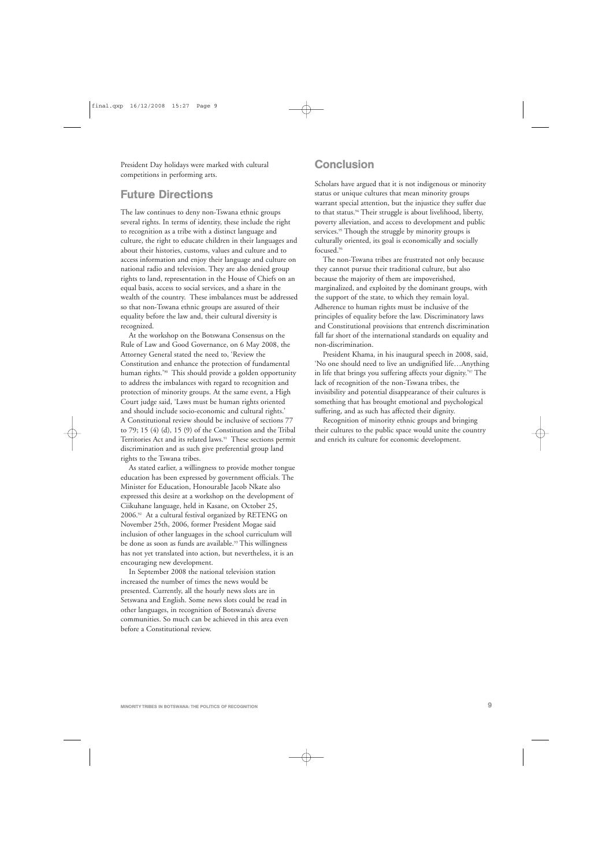President Day holidays were marked with cultural competitions in performing arts.

## Future Directions

The law continues to deny non-Tswana ethnic groups several rights. In terms of identity, these include the right to recognition as a tribe with a distinct language and culture, the right to educate children in their languages and about their histories, customs, values and culture and to access information and enjoy their language and culture on national radio and television. They are also denied group rights to land, representation in the House of Chiefs on an equal basis, access to social services, and a share in the wealth of the country. These imbalances must be addressed so that non-Tswana ethnic groups are assured of their equality before the law and, their cultural diversity is recognized.

At the workshop on the Botswana Consensus on the Rule of Law and Good Governance, on 6 May 2008, the Attorney General stated the need to, 'Review the Constitution and enhance the protection of fundamental human rights.'<sup>90</sup> This should provide a golden opportunity to address the imbalances with regard to recognition and protection of minority groups. At the same event, a High Court judge said, 'Laws must be human rights oriented and should include socio-economic and cultural rights.' A Constitutional review should be inclusive of sections 77 to 79; 15 (4) (d), 15 (9) of the Constitution and the Tribal Territories Act and its related laws.<sup>91</sup> These sections permit discrimination and as such give preferential group land rights to the Tswana tribes.

As stated earlier, a willingness to provide mother tongue education has been expressed by government officials. The Minister for Education, Honourable Jacob Nkate also expressed this desire at a workshop on the development of Ciikuhane language, held in Kasane, on October 25, 2006.92 At a cultural festival organized by RETENG on November 25th, 2006, former President Mogae said inclusion of other languages in the school curriculum will be done as soon as funds are available.<sup>93</sup> This willingness has not yet translated into action, but nevertheless, it is an encouraging new development.

In September 2008 the national television station increased the number of times the news would be presented. Currently, all the hourly news slots are in Setswana and English. Some news slots could be read in other languages, in recognition of Botswana's diverse communities. So much can be achieved in this area even before a Constitutional review.

## **Conclusion**

Scholars have argued that it is not indigenous or minority status or unique cultures that mean minority groups warrant special attention, but the injustice they suffer due to that status.<sup>94</sup> Their struggle is about livelihood, liberty, poverty alleviation, and access to development and public services.<sup>95</sup> Though the struggle by minority groups is culturally oriented, its goal is economically and socially focused.96

The non-Tswana tribes are frustrated not only because they cannot pursue their traditional culture, but also because the majority of them are impoverished, marginalized, and exploited by the dominant groups, with the support of the state, to which they remain loyal. Adherence to human rights must be inclusive of the principles of equality before the law. Discriminatory laws and Constitutional provisions that entrench discrimination fall far short of the international standards on equality and non-discrimination.

President Khama, in his inaugural speech in 2008, said, 'No one should need to live an undignified life…Anything in life that brings you suffering affects your dignity.'97 The lack of recognition of the non-Tswana tribes, the invisibility and potential disappearance of their cultures is something that has brought emotional and psychological suffering, and as such has affected their dignity.

Recognition of minority ethnic groups and bringing their cultures to the public space would unite the country and enrich its culture for economic development.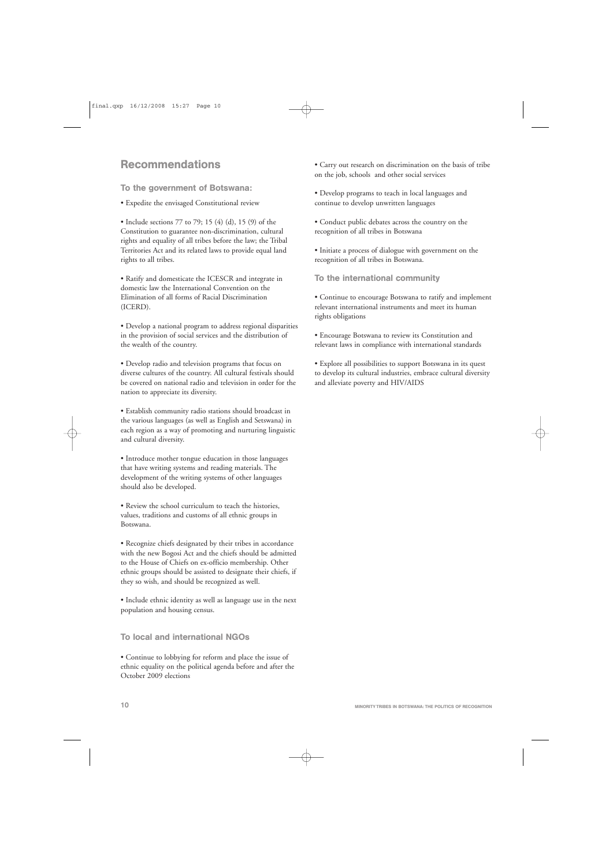## Recommendations

To the government of Botswana:

• Expedite the envisaged Constitutional review

• Include sections 77 to 79; 15 (4) (d), 15 (9) of the Constitution to guarantee non-discrimination, cultural rights and equality of all tribes before the law; the Tribal Territories Act and its related laws to provide equal land rights to all tribes.

• Ratify and domesticate the ICESCR and integrate in domestic law the International Convention on the Elimination of all forms of Racial Discrimination (ICERD).

• Develop a national program to address regional disparities in the provision of social services and the distribution of the wealth of the country.

• Develop radio and television programs that focus on diverse cultures of the country. All cultural festivals should be covered on national radio and television in order for the nation to appreciate its diversity.

• Establish community radio stations should broadcast in the various languages (as well as English and Setswana) in each region as a way of promoting and nurturing linguistic and cultural diversity.

• Introduce mother tongue education in those languages that have writing systems and reading materials. The development of the writing systems of other languages should also be developed.

• Review the school curriculum to teach the histories, values, traditions and customs of all ethnic groups in Botswana.

• Recognize chiefs designated by their tribes in accordance with the new Bogosi Act and the chiefs should be admitted to the House of Chiefs on ex-officio membership. Other ethnic groups should be assisted to designate their chiefs, if they so wish, and should be recognized as well.

• Include ethnic identity as well as language use in the next population and housing census.

To local and international NGOs

• Continue to lobbying for reform and place the issue of ethnic equality on the political agenda before and after the October 2009 elections

• Carry out research on discrimination on the basis of tribe on the job, schools and other social services

• Develop programs to teach in local languages and continue to develop unwritten languages

• Conduct public debates across the country on the recognition of all tribes in Botswana

• Initiate a process of dialogue with government on the recognition of all tribes in Botswana.

To the international community

• Continue to encourage Botswana to ratify and implement relevant international instruments and meet its human rights obligations

• Encourage Botswana to review its Constitution and relevant laws in compliance with international standards

• Explore all possibilities to support Botswana in its quest to develop its cultural industries, embrace cultural diversity and alleviate poverty and HIV/AIDS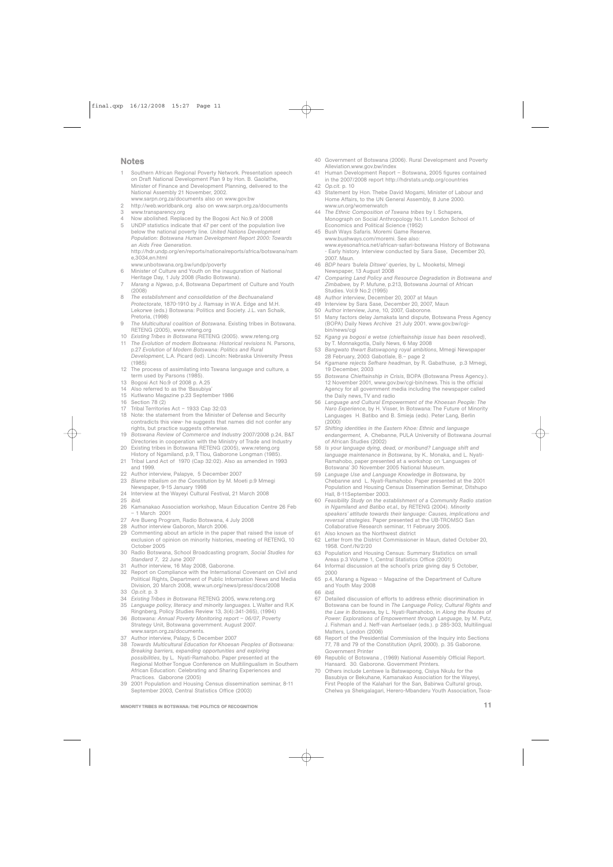#### **Notes**

- 1 Southern African Regional Poverty Network. Presentation speech on Draft National Development Plan 9 by Hon. B. Gaolathe, Minister of Finance and Development Planning, delivered to the National Assembly 21 November, 2002. www.sarpn.org.za/documents also on www.gov.bw
- 2 http://web.worldbank.org also on www.sarpn.org.za/documents
- 3 www.transparency.org
- 4 Now abolished. Replaced by the Bogosi Act No.9 of 2008
- 5 UNDP statistics indicate that 47 per cent of the population live below the national poverty line. *United Nations Development Population: Botswana Human Development Report 2000: Towards an Aids Free Generation*. http://hdr.undp.org/en/reports/nationalreports/africa/botswana/nam

 $e$ ,3034  $e$ n.html

- www.unbotswana.org.bw/undp/poverty
- 6 Minister of Culture and Youth on the inauguration of National Heritage Day, 1 July 2008 (Radio Botswana).
- 7 *Marang a Ngwao*, p.4, Botswana Department of Culture and Youth (2008)
- 8 *The establishment and consolidation of the Bechuanaland Protectorate*, 1870-1910 by J. Ramsay in W.A. Edge and M.H. Lekorwe (eds.) Botswana: Politics and Society. J.L. van Schaik, Pretoria, (1998)
- 9 *The Multicultural coalition of Botswana*. Existing tribes in Botswana. RETENG (2005), www.reteng.org
- 10 *Existing Tribes in Botswana* RETENG (2005). www.reteng.org
- 11 *The Evolution of modern Botswana: Historical revisions* N. Parsons, p.27 *Evolution of Modern Botswana: Politics and Rural Development*, L.A. Picard (ed). Lincoln: Nebraska University Press
- (1985)
- 12 The process of assimilating into Tswana language and culture, a term used by Parsons (1985).
- 13 Bogosi Act No.9 of 2008 p. A.25
- 14 Also referred to as the 'Basubiya'<br>15 Kutlwano Magazine p.23 Septem
- 15 Kutlwano Magazine p.23 September 1986
- 16 Section 78 (2)<br>17 Tribal Territorie
- Tribal Territories Act 1933 Cap 32:03
- 18 Note: the statement from the Minister of Defense and Security contradicts this view- he suggests that names did not confer any rights, but practice suggests otherwise.
- 19 *Botswana Review of Commerce and Industry* 2007/2008 p.24, B&T Directories in cooperation with the Ministry of Trade and Industry
- 20 Existing tribes in Botswana RETENG (2005), www.reteng.org History of Ngamiland, p.9, T Tlou, Gaborone Longman (1985).
- 21 Tribal Land Act of 1970 (Cap 32:02). Also as amended in 1993 and 1999.
- 22 Author interview, Palapye, 5 December 2007
- 23 *Blame tribalism on the Constitution* by M. Moeti p.9 Mmegi Newspaper, 9-15 January 1998
- 24 Interview at the Wayeyi Cultural Festival, 21 March 2008<br>25 *ibid.*
- 25 *ibid.*
- 26 Kamanakao Association workshop, Maun Education Centre 26 Feb – 1 March 2001
- 27 Are Bueng Program, Radio Botswana, 4 July 2008
- 28 Author interview Gaboron, March 2006.
- 29 Commenting about an article in the paper that raised the issue of exclusion of opinion on minority histories, meeting of RETENG, 10 October 2005
- 30 Radio Botswana, School Broadcasting program, *Social Studies for Standard 7*, 22 June 2007
- 31 Author interview, 16 May 2008, Gaborone.
- 32 Report on Compliance with the International Covenant on Civil and Political Rights, Department of Public Information News and Media Division, 20 March 2008, www.un.org/news/press/docs/2008
- 33 *Op.cit.* p. 3
- 34 *Existing Tribes in Botswana* RETENG 2005, www.reteng.org
- 35 *Language policy, literacy and minority languages*. L Walter and R.K Ringnberg, Policy Studies Review 13, 3(4):341-365), (1994)
- 36 *Botswana: Annual Poverty Monitoring report 06/07*, Poverty Strategy Unit, Botswana government. August 2007. www.sarpn.org.za/documents.
- 37 Author interview, Palapy, 5 December 2007
- 38 *Towards Multicultural Education for Khoesan Peoples of Botswana: Breaking barriers, expanding opportunities and exploring possibilities*, by L. Nyati-Ramahobo. Paper presented at the Regional Mother Tongue Conference on Multilingualism in Southern African Education: Celebrating and Sharing Experiences and Practices. Gaborone (2005)
- 39 2001 Population and Housing Census dissemination seminar, 8-11 September 2003, Central Statistics Office (2003)

MINORITY TRIBES IN BOTSWANA: THE POLITICS OF RECOGNITION  $\,11\,$ 

- 40 Government of Botswana (2006). Rural Development and Poverty Alleviation.www.gov.bw/index
- 41 Human Development Report Botswana, 2005 figures contained in the 2007/2008 report http://hdrstats.undp.org/countries 42 *Op.cit.* p. 10
- 
- 43 Statement by Hon. Thebe David Mogami, Minister of Labour and Home Affairs, to the UN General Assembly, 8 June 2000. www.un.org/womenwatch
- 44 *The Ethnic Composition of Tswana tribes* by I. Schapera, Monograph on Social Anthropology No.11. London School of Economics and Political Science (1952)
- 45 Bush Ways Safaris. Moremi Game Reserve. www.bushways.com/moremi. See also: www.eyesonafrica.net/african-safari-botswana History of Botswana - Early history. Interview conducted by Sara Sase, December 20, 2007. Maun.
- 46 *BDP hears 'bulela Ditswe' queries*, by L. Mooketsi, Mmegi Newspaper, 13 August 2008
- 47 *Comparing Land Policy and Resource Degradation in Botswana and Zimbabwe,* by P. Mufune, p.213, Botswana Journal of African Studies. Vol.9 No.2 (1995)
- 48 Author interview, December 20, 2007 at Maun
- 49 Interview by Sara Sase, December 20, 2007, Maun
- 50 Author interview, June, 10, 2007, Gaborone.
- 51 Many factors delay Jamakata land dispute, Botswana Press Agency (BOPA) Daily News Archive 21 July 2001. www.gov.bw/cgibin/news/cgi
- 52 *Kgang ya bogosi e wetse (chieftainship issue has been resolved)*, by T. Monnakgotla, Daily News, 6 May 2008
- 53 *Bangwato thwart Batswapong royal ambitions*, Mmegi Newspaper 28 February, 2003 Gabotlale, B.– page 2
- 54 *Kgamane rejects Sefhare headman*, by R. Gabathuse, p.3 Mmegi, 19 December, 2003
- 55 *Botswana Chieftainship in Crisis*, BOPA (Botswana Press Agency.). 12 November 2001, www.gov.bw/cgi-bin/news. This is the official Agency for all government media including the newspaper called the Daily news, TV and radio
- 56 *Language and Cultural Empowerment of the Khoesan People: The Naro Experience*, by H. Visser, In Botswana: The Future of Minority Languages H. Batibo and B. Smieja (eds). Peter Lang, Berlin (2000)
- 57 *Shifting identities in the Eastern Khoe: Ethnic and language endangerment*, A. Chebanne, PULA University of Botswana Journal of African Studies (2002)
- 58 *Is your language dying, dead, or moribund? Language shift and language maintenance in Botswana*, by K.. Monaka, and L. Nyati-Ramahobo, paper presented at a workshop on 'Languages of Botswana' 30 November 2005 National Museum.
- 59 *Language Use and Language Knowledge in Botswana*, by Chebanne and L. Nyati-Ramahobo. Paper presented at the 2001 Population and Housing Census Dissemination Seminar, Ditshupo Hall, 8-11September 2003.
- 60 *Feasibility Study on the establishment of a Community Radio station in Ngamiland and Batibo et.al.*, by RETENG (2004). *Minority speakers' attitude towards their language: Causes, implications and reversal strategies*. Paper presented at the UB-TROMSO San Collaborative Research seminar, 11 February 2005.
- 61 Also known as the Northwest district
- 62 Letter from the District Commissioner in Maun, dated October 20, 1958. Conf./N/2/20
- 63 Population and Housing Census: Summary Statistics on small Areas p.3 Volume 1, Central Statistics Office (2001)
- 64 Informal discussion at the school's prize giving day 5 October, 2000
- 65 p.4, Marang a Ngwao Magazine of the Department of Culture and Youth May 2008
- 66 *ibid.*
- 67 Detailed discussion of efforts to address ethnic discrimination in Botswana can be found in *The Language Policy, Cultural Rights and the Law in Botswana*, by L. Nyati-Ramahobo, in *Along the Routes of Power: Explorations of Empowerment through Language*, by M. Putz, J. Fishman and J. Neff-van Aertselaer (eds.). p 285-303, Multilingual Matters, London (2006)
- 68 Report of the Presidential Commission of the Inquiry into Sections 77, 78 and 79 of the Constitution (April, 2000). p. 35 Gaborone. Government Printer
- 69 Republic of Botswana , (1969) National Assembly Official Report. Hansard. 30. Gaborone. Government Printers.
- Others include Lentswe la Batswapong, Cisiya Nkulu for the Basubiya or Bekuhane, Kamanakao Association for the Wayeyi, First People of the Kalahari for the San, Babirwa Cultural group, Chelwa ya Shekgalagari, Herero-Mbanderu Youth Association, Tsoa-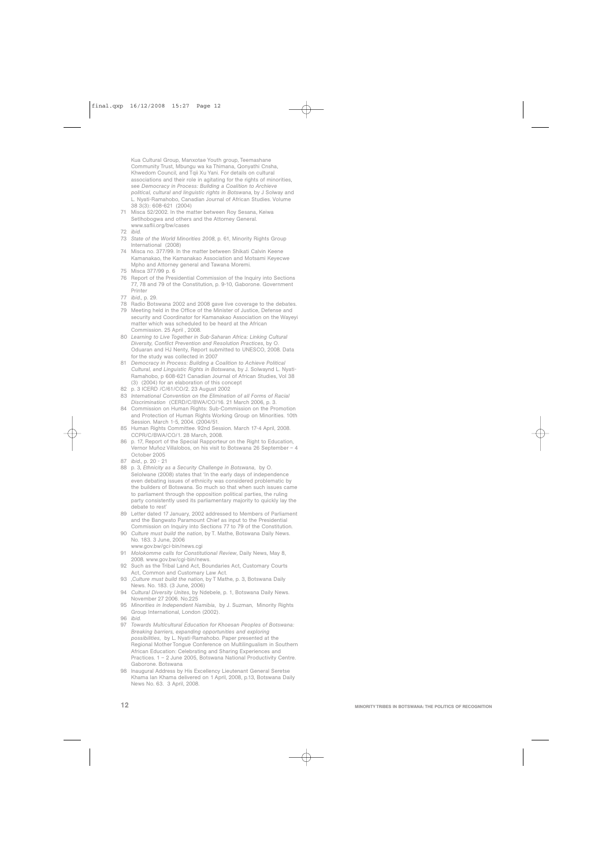Kua Cultural Group, Manxotae Youth group, Teemashane Community Trust, Mbungu wa ka Thimana, Qonyathi Cnsha, Khwedom Council, and Tqii Xu Yani. For details on cultural associations and their role in agitating for the rights of minorities, see *Democracy in Process: Building a Coalition to Archieve political, cultural and linguistic rights in Botswana*, by J Solway and L. Nyati-Ramahobo, Canadian Journal of African Studies. Volume 38 3(3): 608-621 (2004)

- 71 Misca 52/2002. In the matter between Roy Sesana, Keiwa Setlhobogwa and others and the Attorney General. www.saflii.org/bw/cases
- 72 *ibid.*
- 73 *State of the World Minorities 2008*, p. 61, Minority Rights Group International (2008)
- 74 Misca no. 377/99. In the matter between Shikati Calvin Keene Kamanakao, the Kamanakao Association and Motsami Keyecwe Mpho and Attorney general and Tawana Moremi.
- 75 Misca 377/99 p. 6
- Report of the Presidential Commission of the Inquiry into Sections 77, 78 and 79 of the Constitution, p. 9-10, Gaborone. Government Printer
- 77 *ibid.*, p. 29.
- 78 Radio Botswana 2002 and 2008 gave live coverage to the debates.
- 79 Meeting held in the Office of the Minister of Justice, Defense and security and Coordinator for Kamanakao Association on the Wayeyi matter which was scheduled to be heard at the African Commission. 25 April , 2008.
- 80 *Learning to Live Together in Sub-Saharan Africa: Linking Cultural Diversity, Conflict Prevention and Resolution Practices*, by O. Oduaran and HJ Nenty, Report submitted to UNESCO, 2008. Data for the study was collected in 2007
- 81 *Democracy in Process: Building a Coalition to Achieve Political Cultural, and Linguistic Rights in Botswana*, by J. Solwaynd L. Nyati-Ramahobo, p 608-621 Canadian Journal of African Studies, Vol 38 (3) (2004) for an elaboration of this concept
- 82 p. 3 ICERD /C/61/CO/2. 23 August 2002<br>83 International Convention on the Elimination
- 83 *International Convention on the Elimination of all Forms of Racial Discrimination* (CERD/C/BWA/CO/16. 21 March 2006, p. 3.
- Commission on Human Rights: Sub-Commission on the Promotion and Protection of Human Rights Working Group on Minorities. 10th Session. March 1-5, 2004. (2004/51.
- 85 Human Rights Committee. 92nd Session. March 17-4 April, 2008. CCPR/C/BWA/CO/1. 28 March, 2008.
- 86 p. 17, Report of the Special Rapporteur on the Right to Education, Vernor Muñoz Villalobos, on his visit to Botswana 26 September – 4 October 2005
- 87 *ibid.*, p. 20 21
- 88 p. 3, *Ethnicity as a Security Challenge in Botswana,* by O. Selolwane (2008) states that 'In the early days of independence even debating issues of ethnicity was considered problematic by the builders of Botswana. So much so that when such issues came to parliament through the opposition political parties, the ruling party consistently used its parliamentary majority to quickly lay the debate to rest'
- 89 Letter dated 17 January, 2002 addressed to Members of Parliament and the Bangwato Paramount Chief as input to the Presidential Commission on Inquiry into Sections 77 to 79 of the Constitution.
- 90 *Culture must build the nation*, by T. Mathe, Botswana Daily News. No. 183. 3 June, 2006
- www.gov.bw/gci-bin/news.cgi
- 91 *Molokomme calls for Constitutional Review*, Daily News, May 8, 2008. www.gov.bw/cgi-bin/news.
- 92 Such as the Tribal Land Act, Boundaries Act, Customary Courts Act, Common and Customary Law Act.
- 93 ,*Culture must build the nation*, by T Mathe, p. 3, Botswana Daily News. No. 183. (3 June, 2006)
- 94 *Cultural Diversity Unites*, by Ndebele, p. 1, Botswana Daily News. November 27 2006. No.225
- 95 *Minorities in Independent Namibia*, by J. Suzman, Minority Rights Group International, London (2002).
- 96 *ibid.*
- 97 *Towards Multicultural Education for Khoesan Peoples of Botswana: Breaking barriers, expanding opportunities and exploring possibilities*, by L. Nyati-Ramahobo. Paper presented at the Regional Mother Tongue Conference on Multilingualism in Southern African Education: Celebrating and Sharing Experiences and Practices. 1 – 2 June 2005, Botswana National Productivity Centre. Gaborone. Botswana
- 98 Inaugural Address by His Excellency Lieutenant General Seretse Khama Ian Khama delivered on 1 April, 2008, p.13, Botswana Daily News No. 63. 3 April, 2008.